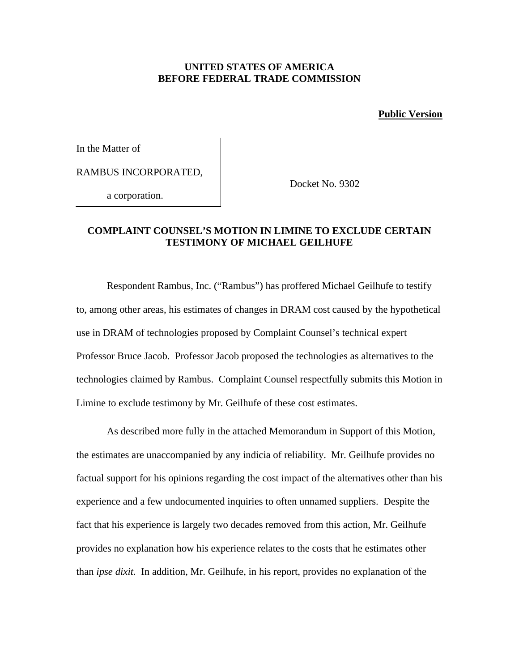## **UNITED STATES OF AMERICA BEFORE FEDERAL TRADE COMMISSION**

**Public Version**

In the Matter of

RAMBUS INCORPORATED,

a corporation.

Docket No. 9302

## **COMPLAINT COUNSEL'S MOTION IN LIMINE TO EXCLUDE CERTAIN TESTIMONY OF MICHAEL GEILHUFE**

Respondent Rambus, Inc. ("Rambus") has proffered Michael Geilhufe to testify to, among other areas, his estimates of changes in DRAM cost caused by the hypothetical use in DRAM of technologies proposed by Complaint Counsel's technical expert Professor Bruce Jacob. Professor Jacob proposed the technologies as alternatives to the technologies claimed by Rambus. Complaint Counsel respectfully submits this Motion in Limine to exclude testimony by Mr. Geilhufe of these cost estimates.

As described more fully in the attached Memorandum in Support of this Motion, the estimates are unaccompanied by any indicia of reliability. Mr. Geilhufe provides no factual support for his opinions regarding the cost impact of the alternatives other than his experience and a few undocumented inquiries to often unnamed suppliers. Despite the fact that his experience is largely two decades removed from this action, Mr. Geilhufe provides no explanation how his experience relates to the costs that he estimates other than *ipse dixit.* In addition, Mr. Geilhufe, in his report, provides no explanation of the